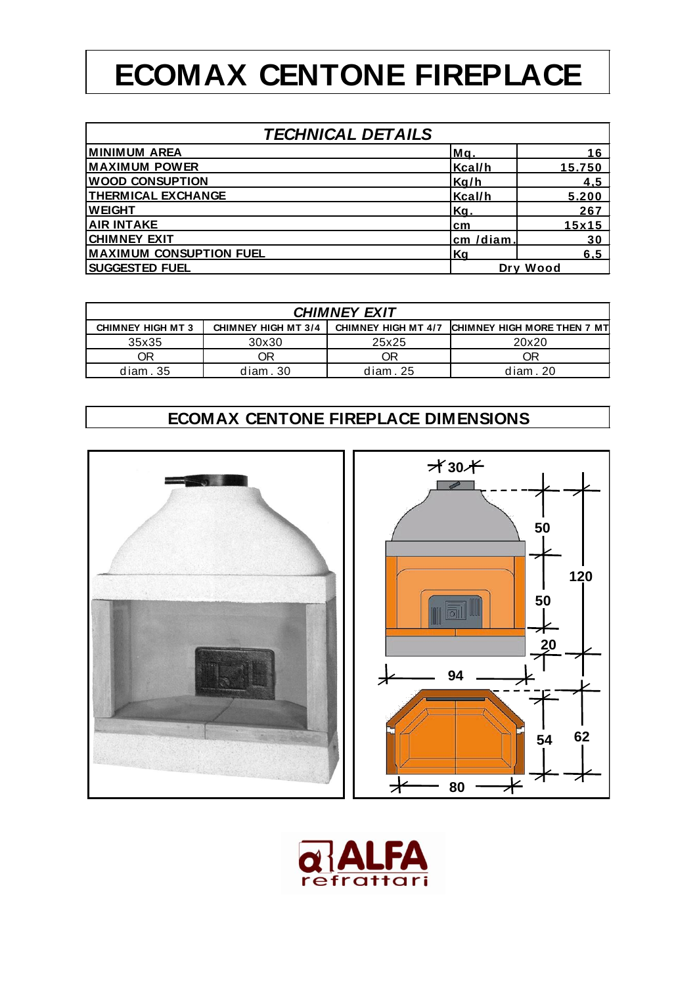## **ECOMAX CENTONE FIREPLACE**

| <b>TECHNICAL DETAILS</b>       |          |               |  |
|--------------------------------|----------|---------------|--|
| <b>MINIMUM AREA</b>            | Mq.      | 16            |  |
| <b>MAXIMUM POWER</b>           | Kcal/h   | <u>15.750</u> |  |
| <b>WOOD CONSUPTION</b>         | Kg/h     | <u>4,5</u>    |  |
| <b>THERMICAL EXCHANGE</b>      | Kcal/h   | 5.200         |  |
| <b>WEIGHT</b>                  | Kq.      | 267           |  |
| <b>AIR INTAKE</b>              | cm       | 15x15         |  |
| <b>ICHIMNEY EXIT</b>           | cm /diam | 30            |  |
| <b>MAXIMUM CONSUPTION FUEL</b> | Kq       | 6.5           |  |
| <b>SUGGESTED FUEL</b>          |          | Dry Wood      |  |

| <b>CHIMNEY EXIT</b>      |                              |          |                                                 |  |  |
|--------------------------|------------------------------|----------|-------------------------------------------------|--|--|
| <b>CHIMNEY HIGH MT 3</b> | <b>CHIMNEY HIGH MT 3/4  </b> |          | CHIMNEY HIGH MT 4/7 CHIMNEY HIGH MORE THEN 7 MT |  |  |
| 35x35                    | 30x30                        | 25x25    | 20x20                                           |  |  |
| ΟR                       | ОR                           | ОR       | ЭR                                              |  |  |
| diam.35                  | diam.30                      | diam. 25 | diam. 20                                        |  |  |

## **ECOMAX CENTONE FIREPLACE DIMENSIONS**